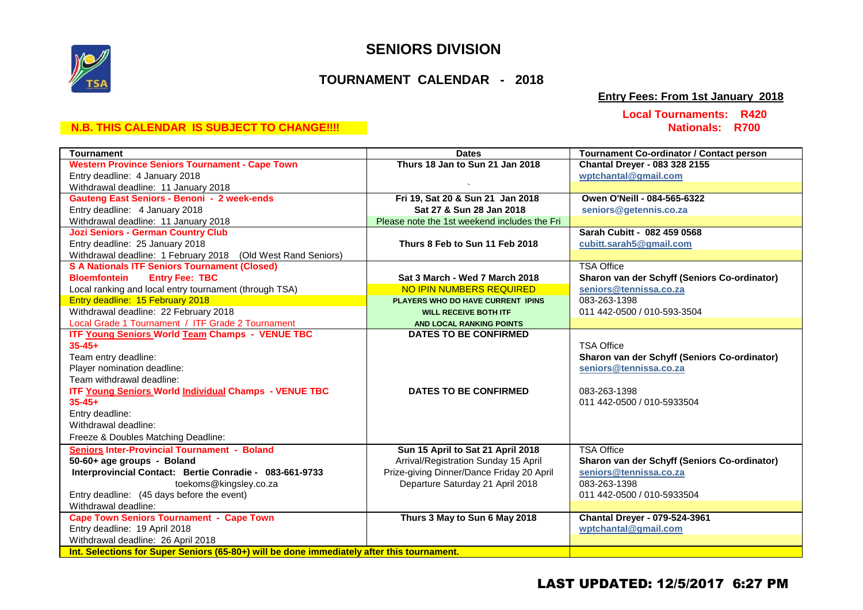**SENIORS DIVISION**

## **TOURNAMENT CALENDAR - 2018**

 **Entry Fees: From 1st January 2018**

## **N.B. THIS CALENDAR IS SUBJECT TO CHANGE!!!!**

 **Local Tournaments: R420**

| <b>Tournament</b>                                                                          | <b>Dates</b>                                 | <b>Tournament Co-ordinator / Contact person</b> |
|--------------------------------------------------------------------------------------------|----------------------------------------------|-------------------------------------------------|
| <b>Western Province Seniors Tournament - Cape Town</b>                                     | Thurs 18 Jan to Sun 21 Jan 2018              | <b>Chantal Dreyer - 083 328 2155</b>            |
| Entry deadline: 4 January 2018                                                             |                                              | wptchantal@gmail.com                            |
| Withdrawal deadline: 11 January 2018                                                       |                                              |                                                 |
| <b>Gauteng East Seniors - Benoni - 2 week-ends</b>                                         | Fri 19, Sat 20 & Sun 21 Jan 2018             | Owen O'Neill - 084-565-6322                     |
| Entry deadline: 4 January 2018                                                             | Sat 27 & Sun 28 Jan 2018                     | seniors@getennis.co.za                          |
| Withdrawal deadline: 11 January 2018                                                       | Please note the 1st weekend includes the Fri |                                                 |
| <b>Jozi Seniors - German Country Club</b>                                                  |                                              | Sarah Cubitt - 082 459 0568                     |
| Entry deadline: 25 January 2018                                                            | Thurs 8 Feb to Sun 11 Feb 2018               | cubitt.sarah5@gmail.com                         |
| Withdrawal deadline: 1 February 2018 (Old West Rand Seniors)                               |                                              |                                                 |
| <b>S A Nationals ITF Seniors Tournament (Closed)</b>                                       |                                              | <b>TSA Office</b>                               |
| <b>Entry Fee: TBC</b><br><b>Bloemfontein</b>                                               | Sat 3 March - Wed 7 March 2018               | Sharon van der Schyff (Seniors Co-ordinator)    |
| Local ranking and local entry tournament (through TSA)                                     | NO IPIN NUMBERS REQUIRED                     | seniors@tennissa.co.za                          |
| Entry deadline: 15 February 2018                                                           | PLAYERS WHO DO HAVE CURRENT IPINS            | 083-263-1398                                    |
| Withdrawal deadline: 22 February 2018                                                      | <b>WILL RECEIVE BOTH ITF</b>                 | 011 442-0500 / 010-593-3504                     |
| Local Grade 1 Tournament / ITF Grade 2 Tournament                                          | <b>AND LOCAL RANKING POINTS</b>              |                                                 |
| <b>ITF Young Seniors World Team Champs - VENUE TBC</b>                                     | <b>DATES TO BE CONFIRMED</b>                 |                                                 |
| $35 - 45 +$                                                                                |                                              | <b>TSA Office</b>                               |
| Team entry deadline:                                                                       |                                              | Sharon van der Schyff (Seniors Co-ordinator)    |
| Player nomination deadline:                                                                |                                              | seniors@tennissa.co.za                          |
| Team withdrawal deadline:                                                                  |                                              |                                                 |
| <b>ITF Young Seniors World Individual Champs - VENUE TBC</b>                               | <b>DATES TO BE CONFIRMED</b>                 | 083-263-1398                                    |
| $35 - 45 +$                                                                                |                                              | 011 442-0500 / 010-5933504                      |
| Entry deadline:                                                                            |                                              |                                                 |
| Withdrawal deadline:                                                                       |                                              |                                                 |
| Freeze & Doubles Matching Deadline:                                                        |                                              |                                                 |
| <b>Seniors Inter-Provincial Tournament - Boland</b>                                        | Sun 15 April to Sat 21 April 2018            | <b>TSA Office</b>                               |
| 50-60+ age groups - Boland                                                                 | Arrival/Registration Sunday 15 April         | Sharon van der Schyff (Seniors Co-ordinator)    |
| Interprovincial Contact: Bertie Conradie - 083-661-9733                                    | Prize-giving Dinner/Dance Friday 20 April    | seniors@tennissa.co.za                          |
| toekoms@kingsley.co.za                                                                     | Departure Saturday 21 April 2018             | 083-263-1398                                    |
| Entry deadline: (45 days before the event)                                                 |                                              | 011 442-0500 / 010-5933504                      |
| Withdrawal deadline:                                                                       |                                              |                                                 |
| <b>Cape Town Seniors Tournament - Cape Town</b>                                            | Thurs 3 May to Sun 6 May 2018                | <b>Chantal Dreyer - 079-524-3961</b>            |
| Entry deadline: 19 April 2018                                                              |                                              | wptchantal@gmail.com                            |
| Withdrawal deadline: 26 April 2018                                                         |                                              |                                                 |
| Int. Selections for Super Seniors (65-80+) will be done immediately after this tournament. |                                              |                                                 |

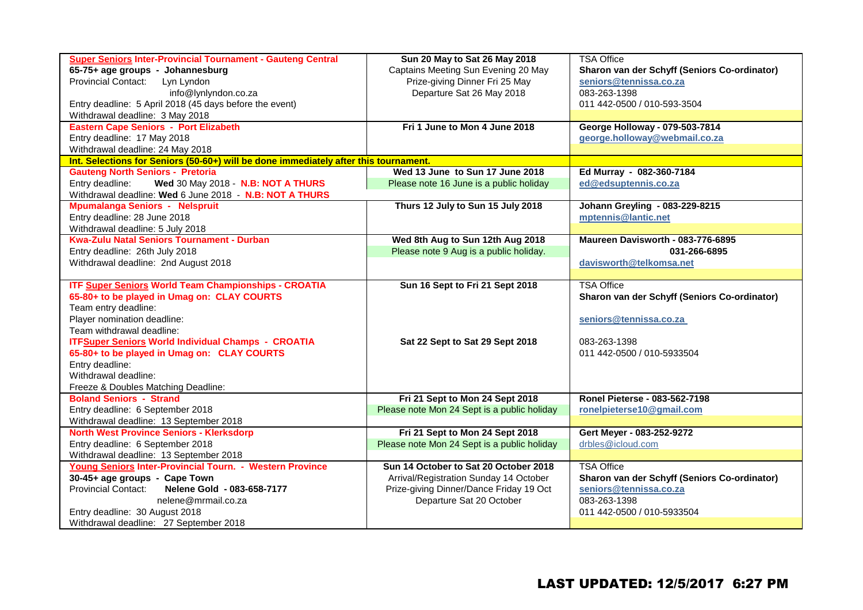| <b>Super Seniors Inter-Provincial Tournament - Gauteng Central</b>                   | Sun 20 May to Sat 26 May 2018               | <b>TSA Office</b>                            |
|--------------------------------------------------------------------------------------|---------------------------------------------|----------------------------------------------|
| 65-75+ age groups - Johannesburg                                                     | Captains Meeting Sun Evening 20 May         | Sharon van der Schyff (Seniors Co-ordinator) |
| <b>Provincial Contact:</b><br>Lyn Lyndon                                             | Prize-giving Dinner Fri 25 May              | seniors@tennissa.co.za                       |
| info@lynlyndon.co.za                                                                 | Departure Sat 26 May 2018                   | 083-263-1398                                 |
| Entry deadline: 5 April 2018 (45 days before the event)                              |                                             | 011 442-0500 / 010-593-3504                  |
| Withdrawal deadline: 3 May 2018                                                      |                                             |                                              |
| Eastern Cape Seniors - Port Elizabeth                                                | Fri 1 June to Mon 4 June 2018               | George Holloway - 079-503-7814               |
| Entry deadline: 17 May 2018                                                          |                                             | george.holloway@webmail.co.za                |
| Withdrawal deadline: 24 May 2018                                                     |                                             |                                              |
| Int. Selections for Seniors (50-60+) will be done immediately after this tournament. |                                             |                                              |
| <b>Gauteng North Seniors - Pretoria</b>                                              | Wed 13 June to Sun 17 June 2018             | Ed Murray - 082-360-7184                     |
| Entry deadline:<br>Wed 30 May 2018 - N.B: NOT A THURS                                | Please note 16 June is a public holiday     | ed@edsuptennis.co.za                         |
| Withdrawal deadline: Wed 6 June 2018 - N.B: NOT A THURS                              |                                             |                                              |
| <b>Mpumalanga Seniors - Nelspruit</b>                                                | Thurs 12 July to Sun 15 July 2018           | Johann Greyling - 083-229-8215               |
| Entry deadline: 28 June 2018                                                         |                                             | mptennis@lantic.net                          |
| Withdrawal deadline: 5 July 2018                                                     |                                             |                                              |
| <b>Kwa-Zulu Natal Seniors Tournament - Durban</b>                                    | Wed 8th Aug to Sun 12th Aug 2018            | Maureen Davisworth - 083-776-6895            |
| Entry deadline: 26th July 2018                                                       | Please note 9 Aug is a public holiday.      | 031-266-6895                                 |
| Withdrawal deadline: 2nd August 2018                                                 |                                             | davisworth@telkomsa.net                      |
|                                                                                      |                                             |                                              |
| <b>ITF Super Seniors World Team Championships - CROATIA</b>                          | Sun 16 Sept to Fri 21 Sept 2018             | <b>TSA Office</b>                            |
| 65-80+ to be played in Umag on: CLAY COURTS                                          |                                             | Sharon van der Schyff (Seniors Co-ordinator) |
| Team entry deadline:                                                                 |                                             |                                              |
| Player nomination deadline:                                                          |                                             | seniors@tennissa.co.za                       |
| Team withdrawal deadline:                                                            |                                             |                                              |
| <b>ITFSuper Seniors World Individual Champs - CROATIA</b>                            | Sat 22 Sept to Sat 29 Sept 2018             | 083-263-1398                                 |
| 65-80+ to be played in Umag on: CLAY COURTS                                          |                                             | 011 442-0500 / 010-5933504                   |
| Entry deadline:                                                                      |                                             |                                              |
| Withdrawal deadline:                                                                 |                                             |                                              |
| Freeze & Doubles Matching Deadline:                                                  |                                             |                                              |
| <b>Boland Seniors - Strand</b>                                                       | Fri 21 Sept to Mon 24 Sept 2018             | Ronel Pieterse - 083-562-7198                |
| Entry deadline: 6 September 2018                                                     | Please note Mon 24 Sept is a public holiday | ronelpieterse10@gmail.com                    |
| Withdrawal deadline: 13 September 2018                                               |                                             |                                              |
| <b>North West Province Seniors - Klerksdorp</b>                                      | Fri 21 Sept to Mon 24 Sept 2018             | Gert Meyer - 083-252-9272                    |
| Entry deadline: 6 September 2018                                                     | Please note Mon 24 Sept is a public holiday | drbles@icloud.com                            |
| Withdrawal deadline: 13 September 2018                                               |                                             |                                              |
| Young Seniors Inter-Provincial Tourn. - Western Province                             | Sun 14 October to Sat 20 October 2018       | <b>TSA Office</b>                            |
| 30-45+ age groups - Cape Town                                                        | Arrival/Registration Sunday 14 October      | Sharon van der Schyff (Seniors Co-ordinator) |
| <b>Provincial Contact:</b><br>Nelene Gold - 083-658-7177                             | Prize-giving Dinner/Dance Friday 19 Oct     | seniors@tennissa.co.za                       |
| nelene@mrmail.co.za                                                                  | Departure Sat 20 October                    | 083-263-1398                                 |
| Entry deadline: 30 August 2018                                                       |                                             | 011 442-0500 / 010-5933504                   |
| Withdrawal deadline: 27 September 2018                                               |                                             |                                              |